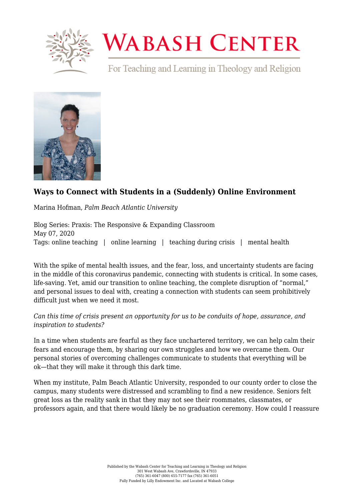

## **WABASH CENTER**

For Teaching and Learning in Theology and Religion



## **[Ways to Connect with Students in a \(Suddenly\) Online Environment](https://www.wabashcenter.wabash.edu/2020/05/ways-to-connect-with-students-in-a-suddenly-online-environment/)**

Marina Hofman, *Palm Beach Atlantic University*

Blog Series: Praxis: The Responsive & Expanding Classroom May 07, 2020 Tags: online teaching | online learning | teaching during crisis | mental health

With the spike of mental health issues, and the fear, loss, and uncertainty students are facing in the middle of this coronavirus pandemic, connecting with students is critical. In some cases, life-saving. Yet, amid our transition to online teaching, the complete disruption of "normal," and personal issues to deal with, creating a connection with students can seem prohibitively difficult just when we need it most.

## *Can this time of crisis present an opportunity for us to be conduits of hope, assurance, and inspiration to students?*

In a time when students are fearful as they face unchartered territory, we can help calm their fears and encourage them, by sharing our own struggles and how we overcame them. Our personal stories of overcoming challenges communicate to students that everything will be ok—that they will make it through this dark time.

When my institute, Palm Beach Atlantic University, responded to our county order to close the campus, many students were distressed and scrambling to find a new residence. Seniors felt great loss as the reality sank in that they may not see their roommates, classmates, or professors again, and that there would likely be no graduation ceremony. How could I reassure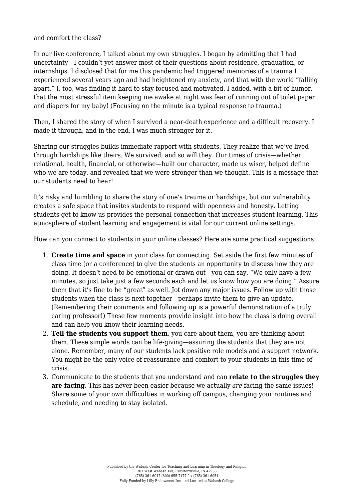## and comfort the class?

In our live conference, I talked about my own struggles. I began by admitting that I had uncertainty—I couldn't yet answer most of their questions about residence, graduation, or internships. I disclosed that for me this pandemic had triggered memories of a trauma I experienced several years ago and had heightened my anxiety, and that with the world "falling apart," I, too, was finding it hard to stay focused and motivated. I added, with a bit of humor, that the most stressful item keeping me awake at night was fear of running out of toilet paper and diapers for my baby! (Focusing on the minute is a typical response to trauma.)

Then, I shared the story of when I survived a near-death experience and a difficult recovery. I made it through, and in the end, I was much stronger for it.

Sharing our struggles builds immediate rapport with students. They realize that we've lived through hardships like theirs. We survived, and so will they. Our times of crisis—whether relational, health, financial, or otherwise—built our character, made us wiser, helped define who we are today, and revealed that we were stronger than we thought. This is a message that our students need to hear!

It's risky and humbling to share the story of one's trauma or hardships, but our vulnerability creates a safe space that invites students to respond with openness and honesty. Letting students get to know us provides the personal connection that increases student learning. This atmosphere of student learning and engagement is vital for our current online settings.

How can you connect to students in your online classes? Here are some practical suggestions:

- 1. **Create time and space** in your class for connecting. Set aside the first few minutes of class time (or a conference) to give the students an opportunity to discuss how they are doing. It doesn't need to be emotional or drawn out—you can say, "We only have a few minutes, so just take just a few seconds each and let us know how you are doing." Assure them that it's fine to be "great" as well. Jot down any major issues. Follow up with those students when the class is next together—perhaps invite them to give an update. (Remembering their comments and following up is a powerful demonstration of a truly caring professor!) These few moments provide insight into how the class is doing overall and can help you know their learning needs.
- 2. **Tell the students you support them**, you care about them, you are thinking about them. These simple words can be life-giving—assuring the students that they are not alone. Remember, many of our students lack positive role models and a support network. You might be the only voice of reassurance and comfort to your students in this time of crisis.
- 3. Communicate to the students that you understand and can **relate to the struggles they are facing**. This has never been easier because we actually *are* facing the same issues! Share some of your own difficulties in working off campus, changing your routines and schedule, and needing to stay isolated.